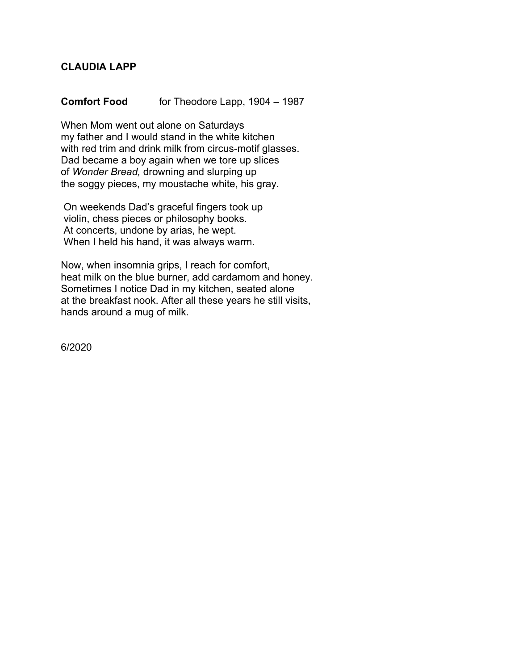## **CLAUDIA LAPP**

## **Comfort Food** for Theodore Lapp, 1904 – 1987

When Mom went out alone on Saturdays my father and I would stand in the white kitchen with red trim and drink milk from circus-motif glasses. Dad became a boy again when we tore up slices of *Wonder Bread,* drowning and slurping up the soggy pieces, my moustache white, his gray.

On weekends Dad's graceful fingers took up violin, chess pieces or philosophy books. At concerts, undone by arias, he wept. When I held his hand, it was always warm.

Now, when insomnia grips, I reach for comfort, heat milk on the blue burner, add cardamom and honey. Sometimes I notice Dad in my kitchen, seated alone at the breakfast nook. After all these years he still visits, hands around a mug of milk.

6/2020